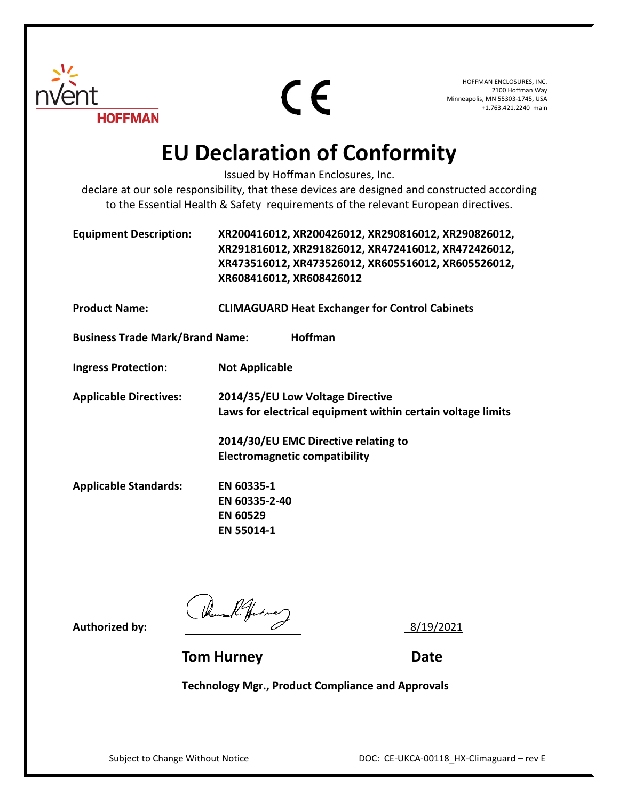

CE

HOFFMAN ENCLOSURES, INC. 2100 Hoffman Way Minneapolis, MN 55303-1745, USA +1.763.421.2240 main

## **EU Declaration of Conformity**

Issued by Hoffman Enclosures, Inc.

declare at our sole responsibility, that these devices are designed and constructed according to the Essential Health & Safety requirements of the relevant European directives.

| <b>Equipment Description:</b> | XR200416012, XR200426012, XR290816012, XR290826012, |
|-------------------------------|-----------------------------------------------------|
|                               | XR291816012, XR291826012, XR472416012, XR472426012, |
|                               | XR473516012, XR473526012, XR605516012, XR605526012, |
|                               | XR608416012, XR608426012                            |

**Product Name: CLIMAGUARD Heat Exchanger for Control Cabinets**

**Business Trade Mark/Brand Name: Hoffman**

**Ingress Protection: Not Applicable**

**Applicable Directives: 2014/35/EU Low Voltage Directive Laws for electrical equipment within certain voltage limits**

> **2014/30/EU EMC Directive relating to Electromagnetic compatibility**

**Applicable Standards: EN 60335-1 EN 60335-2-40 EN 60529 EN 55014-1**

Authorized by:  $\sqrt{h_{\text{break}}/h_{\text{white}}/h_{\text{white}}}/\frac{8}{19/2021}$ 

**Tom Hurney Date** 

**Technology Mgr., Product Compliance and Approvals**